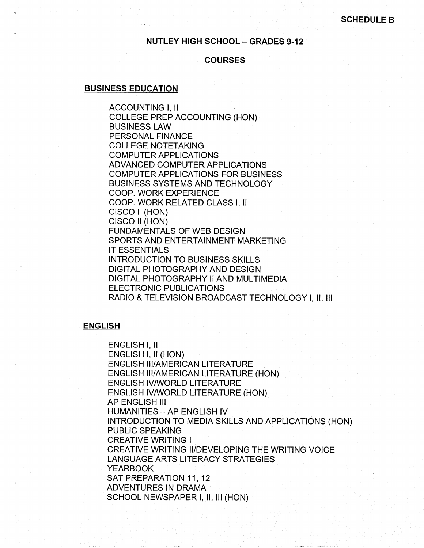## **NUTLEY HIGH SCHOOL - GRADES 9-12**

### **COURSES**

## **BUSINESS EDUCATION**

ACCOUNTING I, II COLLEGE PREP ACCOUNTING (HON) BUSINESS LAW PERSONAL FINANCE COLLEGE NOTETAKING COMPUTER APPLICATIONS ADVANCED COMPUTER APPLICATIONS COMPUTER APPLICATIONS FOR BUSINESS BUSINESS SYSTEMS AND TECHNOLOGY COOP. WORK EXPERIENCE COOP. WORK RELATED CLASS I, II CISCO I (HON) CISCO II (HON) FUNDAMENTALS OF WEB DESIGN SPORTS AND ENTERTAINMENT MARKETING IT ESSENTIALS INTRODUCTION TO BUSINESS SKILLS DIGITAL PHOTOGRAPHY AND DESIGN DIGITAL PHOTOGRAPHY II AND MULTIMEDIA ELECTRONIC PUBLICATIONS RADIO & TELEVISION BROADCAST TECHNOLOGY I, 11, 111

#### **ENGLISH**

ENGLISH I, II ENGLISH I, II (HON) ENGLISH Ill/AMERICAN LITERATURE ENGLISH Ill/AMERICAN LITERATURE (HON) ENGLISH IV/WORLD LITERATURE ENGLISH IV/WORLD LITERATURE (HON) AP ENGLISH Ill **HUMANITIES - AP ENGLISH IV** INTRODUCTION TO MEDIA SKILLS AND APPLICATIONS (HON) PUBLIC SPEAKING CREATIVE WRITING I CREATIVE WRITING II/DEVELOPING THE WRITING VOICE LANGUAGE ARTS LITERACY STRATEGIES YEARBOOK SAT PREPARATION 11, 12 ADVENTURES IN DRAMA SCHOOL NEWSPAPER I, II, III (HON)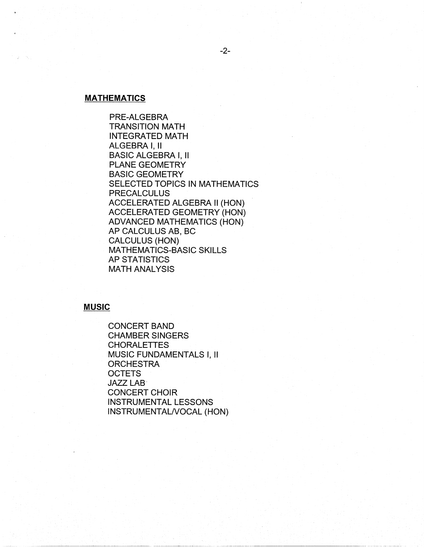### **MATHEMATICS**

PRE-ALGEBRA TRANSITION MATH INTEGRATED MATH ALGEBRA I, II BASIC ALGEBRA I, II PLANE GEOMETRY BASIC GEOMETRY SELECTED TOPICS IN MATHEMATICS PRECALCULUS ACCELERATED ALGEBRA II (HON) ACCELERATED GEOMETRY (HON) ADVANCED MATHEMATICS (HON) AP CALCULUS AB, BC CALCULUS (HON) MATHEMATICS-BASIC SKILLS AP STATISTICS MATH ANALYSIS

## **MUSIC**

CONCERT BAND CHAMBER SINGERS **CHORALETTES** MUSIC FUNDAMENTALS I, II **ORCHESTRA OCTETS** JAZZ LAB· CONCERT CHOIR INSTRUMENTAL LESSONS INSTRUMENTALNOCAL (HON)

----------~----------------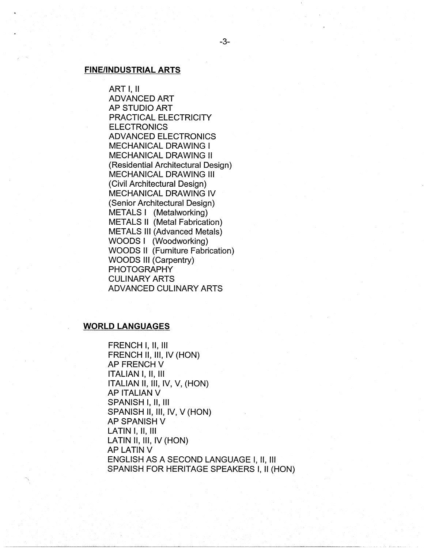### **FINE/INDUSTRIAL ARTS**

ART I, II ADVANCED ART AP STUDIO ART PRACTICAL ELECTRICITY **ELECTRONICS** ADVANCED ELECTRONICS MECHANICAL DRAWING I MECHANICAL DRAWING II (Residential Architectural Design) MECHANICAL DRAWING Ill (Civil Architectural Design) MECHANICAL DRAWING IV (Senior Architectural Design) METALS I (Metalworking) METALS II (Metal Fabrication) METALS Ill (Advanced Metals) WOODS I (Woodworking) WOODS II (Furniture Fabrication) WOODS Ill (Carpentry) **PHOTOGRAPHY** CULINARY ARTS ADVANCED CULINARY ARTS

### **WORLD LANGUAGES**

FRENCH I, 11, Ill FRENCH II, III, IV (HON) **AP FRENCH V** ITALIAN I, 11, Ill ITALIAN 11, 111, IV, V, (HON) AP ITALIAN V SPANISH I, II, Ill SPANISH II, Ill, IV, V (HON) AP SPANISH V LATIN I, II, Ill LATIN II, III, IV (HON) AP LATIN V ENGLISH AS A SECOND LANGUAGE I, 11, Ill SPANISH FOR HERITAGE SPEAKERS I, II (HON)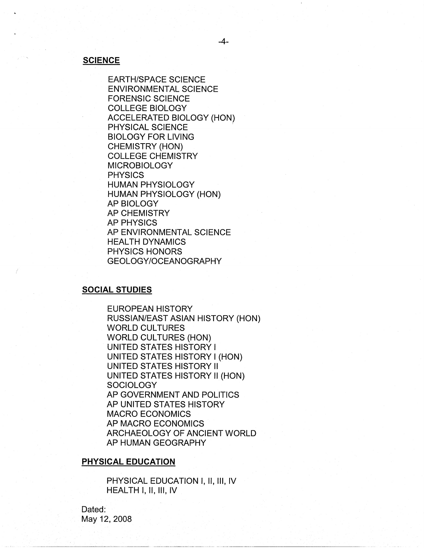### **SCIENCE**

EARTH/SPACE SCIENCE ENVIRONMENTAL SCIENCE FORENSIC SCIENCE COLLEGE BIOLOGY ACCELERATED BIOLOGY (HON) PHYSICAL SCIENCE BIOLOGY FOR LIVING CHEMISTRY (HON) COLLEGE CHEMISTRY MICROBIOLOGY PHYSICS HUMAN PHYSIOLOGY HUMAN PHYSIOLOGY (HON) AP BIOLOGY AP CHEMISTRY AP PHYSICS AP ENVIRONMENTAL SCIENCE HEALTH DYNAMICS PHYSICS HONORS GEOLOGY/OCEANOGRAPHY

## **SOCIAL STUDIES**

EUROPEAN HISTORY RUSSIAN/EAST ASIAN HISTORY (HON) WORLD CULTURES WORLD CULTURES (HON) UNITED STATES HISTORY I UNITED STATES HISTORY I (HON) UNITED STATES HISTORY II UNITED STATES HISTORY II (HON) **SOCIOLOGY** AP GOVERNMENT AND POLITICS AP UNITED STATES HISTORY MACRO ECONOMICS AP MACRO ECONOMICS ARCHAEOLOGY OF ANCIENT WORLD AP HUMAN GEOGRAPHY

# **PHYSICAL EDUCATION**

PHYSICAL EDUCATION I, II, III, IV HEALTH I, 11, Ill, IV

Dated: May 12, 2008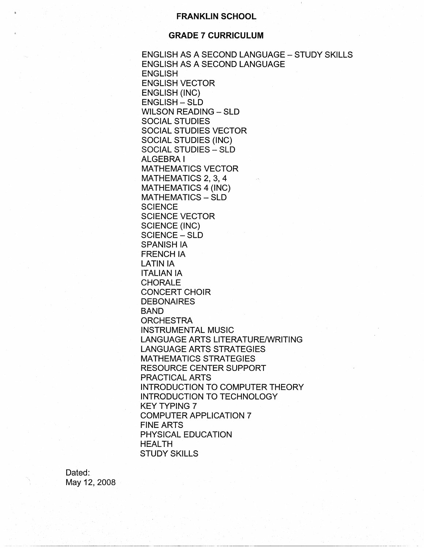# **FRANKLIN SCHOOL**

## **GRADE 7 CURRICULUM**

ENGLISH AS A SECOND LANGUAGE - STUDY SKILLS ENGLISH AS A SECOND LANGUAGE ENGLISH ENGLISH VECTOR ENGLISH (INC) ENGLISH - SLD WILSON READING - SLD SOCIAL STUDIES SOCIAL STUDIES VECTOR SOCIAL STUDIES (INC) SOCIAL STUDIES - SLD ALGEBRA I MATHEMATICS VECTOR MATHEMATICS 2, 3, 4 MATHEMATICS 4 (INC) MATHEMATICS - SLD **SCIENCE** SCIENCE VECTOR SCIENCE (INC) SCIENCE - SLD SPANISH IA FRENCH IA LATIN IA ITALIAN IA CHORALE CONCERT CHOIR **DEBONAIRES** BAND ORCHESTRA INSTRUMENTAL MUSIC LANGUAGE ARTS LITERATURE/WRITING LANGUAGE ARTS STRATEGIES MATHEMATICS STRATEGIES RESOURCE CENTER SUPPORT PRACTICAL ARTS INTRODUCTION TO COMPUTER THEORY INTRODUCTION TO TECHNOLOGY KEY TYPING 7 COMPUTER APPLICATION 7 FINE ARTS PHYSICAL EDUCATION HEALTH STUDY SKILLS

Dated: May 12, 2008

------------------·---~--------··-----------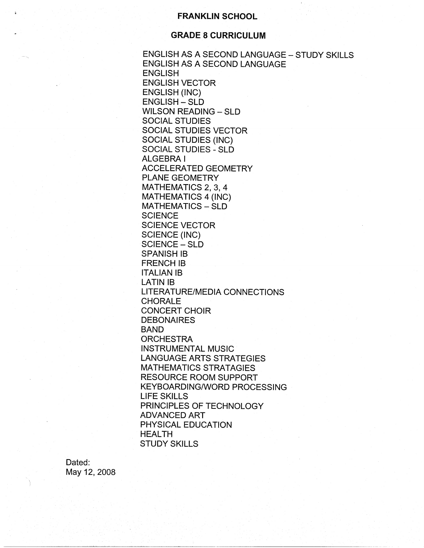# **FRANKLIN SCHOOL**

# **GRADE 8 CURRICULUM**

ENGLISH AS A SECOND LANGUAGE - STUDY SKILLS ENGLISH AS A SECOND LANGUAGE **ENGLISH** ENGLISH VECTOR ENGLISH (INC) ENGLISH - SLD WILSON READING - SLD SOCIAL STUDIES SOCIAL STUDIES VECTOR SOCIAL STUDIES (INC) SOCIAL STUDIES - SLD ALGEBRA I ACCELERATED GEOMETRY PLANE GEOMETRY MATHEMATICS 2, 3, 4 MATHEMATICS 4 (INC) MATHEMATICS - SLD **SCIENCE** SCIENCE VECTOR SCIENCE (INC) SCIENCE - SLD SPANISH 18 FRENCH IB ITALIAN 18 LATIN 18 LITERATURE/MEDIA CONNECTIONS CHORALE CONCERT CHOIR DEBONAIRES BAND **ORCHESTRA** INSTRUMENTAL MUSIC LANGUAGE ARTS STRATEGIES MATHEMATICS STRATAGIES RESOURCE ROOM SUPPORT KEYBOARDING/WORD PROCESSING LIFE SKILLS PRINCIPLES OF TECHNOLOGY ADVANCED ART PHYSICAL EDUCATION HEALTH STUDY SKILLS

Dated: May 12, 2008